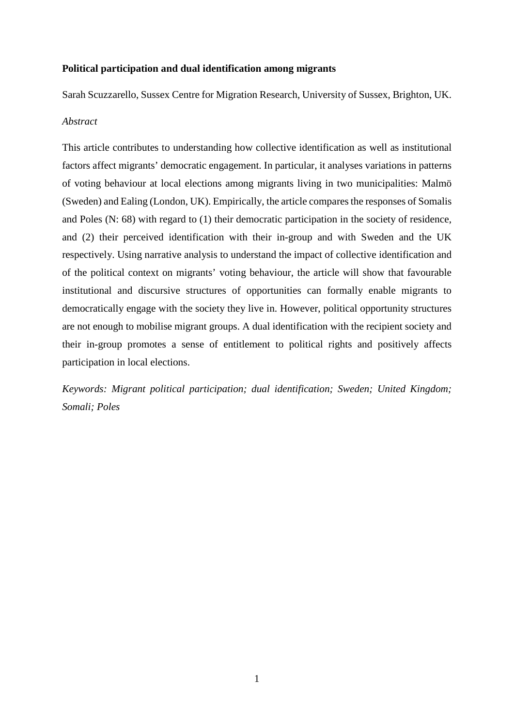# **Political participation and dual identification among migrants**

Sarah Scuzzarello, Sussex Centre for Migration Research, University of Sussex, Brighton, UK.

#### *Abstract*

This article contributes to understanding how collective identification as well as institutional factors affect migrants' democratic engagement. In particular, it analyses variations in patterns of voting behaviour at local elections among migrants living in two municipalities: Malmö (Sweden) and Ealing (London, UK). Empirically, the article compares the responses of Somalis and Poles (N: 68) with regard to (1) their democratic participation in the society of residence, and (2) their perceived identification with their in-group and with Sweden and the UK respectively. Using narrative analysis to understand the impact of collective identification and of the political context on migrants' voting behaviour, the article will show that favourable institutional and discursive structures of opportunities can formally enable migrants to democratically engage with the society they live in. However, political opportunity structures are not enough to mobilise migrant groups. A dual identification with the recipient society and their in-group promotes a sense of entitlement to political rights and positively affects participation in local elections.

*Keywords: Migrant political participation; dual identification; Sweden; United Kingdom; Somali; Poles*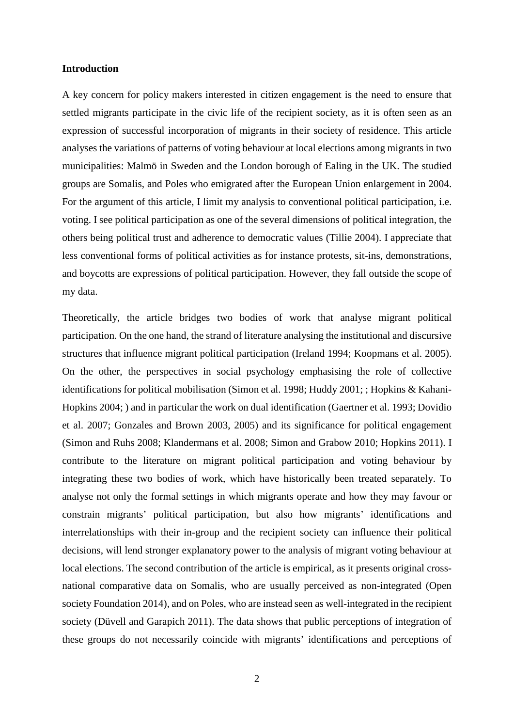### **Introduction**

A key concern for policy makers interested in citizen engagement is the need to ensure that settled migrants participate in the civic life of the recipient society, as it is often seen as an expression of successful incorporation of migrants in their society of residence. This article analyses the variations of patterns of voting behaviour at local elections among migrants in two municipalities: Malmö in Sweden and the London borough of Ealing in the UK. The studied groups are Somalis, and Poles who emigrated after the European Union enlargement in 2004. For the argument of this article, I limit my analysis to conventional political participation, i.e. voting. I see political participation as one of the several dimensions of political integration, the others being political trust and adherence to democratic values (Tillie 2004). I appreciate that less conventional forms of political activities as for instance protests, sit-ins, demonstrations, and boycotts are expressions of political participation. However, they fall outside the scope of my data.

Theoretically, the article bridges two bodies of work that analyse migrant political participation. On the one hand, the strand of literature analysing the institutional and discursive structures that influence migrant political participation (Ireland 1994; Koopmans et al. 2005). On the other, the perspectives in social psychology emphasising the role of collective identifications for political mobilisation (Simon et al. 1998; Huddy 2001; ; Hopkins & Kahani-Hopkins 2004; ) and in particular the work on dual identification (Gaertner et al. 1993; Dovidio et al. 2007; Gonzales and Brown 2003, 2005) and its significance for political engagement (Simon and Ruhs 2008; Klandermans et al. 2008; Simon and Grabow 2010; Hopkins 2011). I contribute to the literature on migrant political participation and voting behaviour by integrating these two bodies of work, which have historically been treated separately. To analyse not only the formal settings in which migrants operate and how they may favour or constrain migrants' political participation, but also how migrants' identifications and interrelationships with their in-group and the recipient society can influence their political decisions, will lend stronger explanatory power to the analysis of migrant voting behaviour at local elections. The second contribution of the article is empirical, as it presents original crossnational comparative data on Somalis, who are usually perceived as non-integrated (Open society Foundation 2014), and on Poles, who are instead seen as well-integrated in the recipient society (Düvell and Garapich 2011). The data shows that public perceptions of integration of these groups do not necessarily coincide with migrants' identifications and perceptions of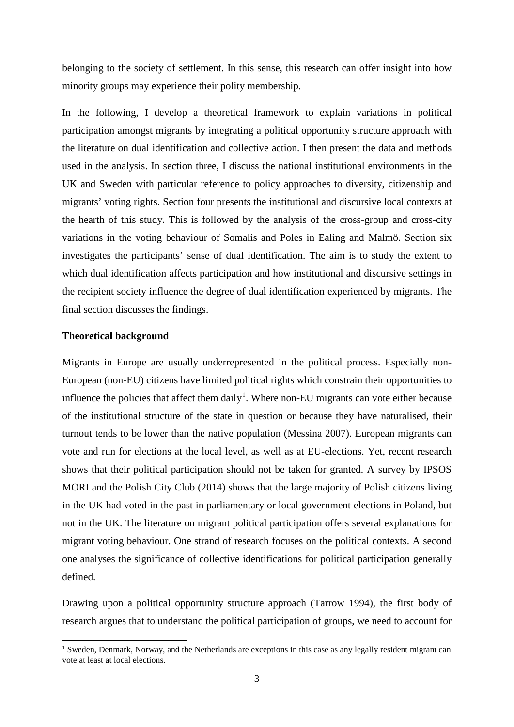belonging to the society of settlement. In this sense, this research can offer insight into how minority groups may experience their polity membership.

In the following, I develop a theoretical framework to explain variations in political participation amongst migrants by integrating a political opportunity structure approach with the literature on dual identification and collective action. I then present the data and methods used in the analysis. In section three, I discuss the national institutional environments in the UK and Sweden with particular reference to policy approaches to diversity, citizenship and migrants' voting rights. Section four presents the institutional and discursive local contexts at the hearth of this study. This is followed by the analysis of the cross-group and cross-city variations in the voting behaviour of Somalis and Poles in Ealing and Malmö. Section six investigates the participants' sense of dual identification. The aim is to study the extent to which dual identification affects participation and how institutional and discursive settings in the recipient society influence the degree of dual identification experienced by migrants. The final section discusses the findings.

#### **Theoretical background**

**.** 

Migrants in Europe are usually underrepresented in the political process. Especially non-European (non-EU) citizens have limited political rights which constrain their opportunities to influence the policies that affect them daily<sup>[1](#page-2-0)</sup>. Where non-EU migrants can vote either because of the institutional structure of the state in question or because they have naturalised, their turnout tends to be lower than the native population (Messina 2007). European migrants can vote and run for elections at the local level, as well as at EU-elections. Yet, recent research shows that their political participation should not be taken for granted. A survey by IPSOS MORI and the Polish City Club (2014) shows that the large majority of Polish citizens living in the UK had voted in the past in parliamentary or local government elections in Poland, but not in the UK. The literature on migrant political participation offers several explanations for migrant voting behaviour. One strand of research focuses on the political contexts. A second one analyses the significance of collective identifications for political participation generally defined.

Drawing upon a political opportunity structure approach (Tarrow 1994), the first body of research argues that to understand the political participation of groups, we need to account for

<span id="page-2-0"></span><sup>&</sup>lt;sup>1</sup> Sweden, Denmark, Norway, and the Netherlands are exceptions in this case as any legally resident migrant can vote at least at local elections.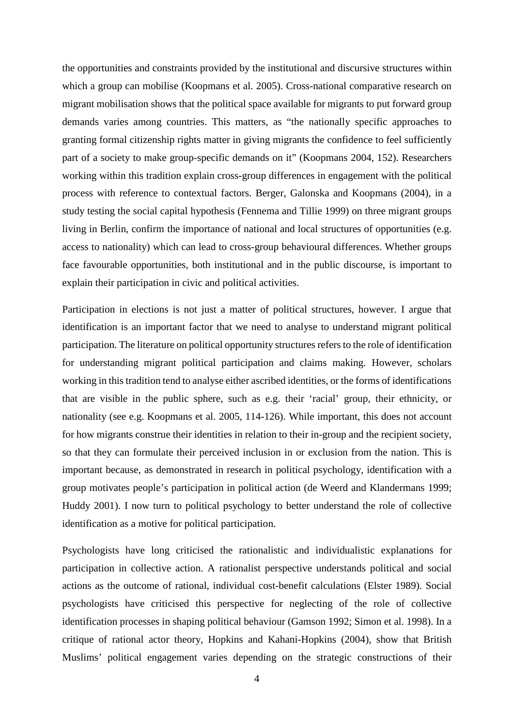the opportunities and constraints provided by the institutional and discursive structures within which a group can mobilise (Koopmans et al. 2005). Cross-national comparative research on migrant mobilisation shows that the political space available for migrants to put forward group demands varies among countries. This matters, as "the nationally specific approaches to granting formal citizenship rights matter in giving migrants the confidence to feel sufficiently part of a society to make group-specific demands on it" (Koopmans 2004, 152). Researchers working within this tradition explain cross-group differences in engagement with the political process with reference to contextual factors. Berger, Galonska and Koopmans (2004), in a study testing the social capital hypothesis (Fennema and Tillie 1999) on three migrant groups living in Berlin, confirm the importance of national and local structures of opportunities (e.g. access to nationality) which can lead to cross-group behavioural differences. Whether groups face favourable opportunities, both institutional and in the public discourse, is important to explain their participation in civic and political activities.

Participation in elections is not just a matter of political structures, however. I argue that identification is an important factor that we need to analyse to understand migrant political participation. The literature on political opportunity structures refers to the role of identification for understanding migrant political participation and claims making. However, scholars working in this tradition tend to analyse either ascribed identities, or the forms of identifications that are visible in the public sphere, such as e.g. their 'racial' group, their ethnicity, or nationality (see e.g. Koopmans et al. 2005, 114-126). While important, this does not account for how migrants construe their identities in relation to their in-group and the recipient society, so that they can formulate their perceived inclusion in or exclusion from the nation. This is important because, as demonstrated in research in political psychology, identification with a group motivates people's participation in political action (de Weerd and Klandermans 1999; Huddy 2001). I now turn to political psychology to better understand the role of collective identification as a motive for political participation.

Psychologists have long criticised the rationalistic and individualistic explanations for participation in collective action. A rationalist perspective understands political and social actions as the outcome of rational, individual cost-benefit calculations (Elster 1989). Social psychologists have criticised this perspective for neglecting of the role of collective identification processes in shaping political behaviour (Gamson 1992; Simon et al. 1998). In a critique of rational actor theory, Hopkins and Kahani-Hopkins (2004), show that British Muslims' political engagement varies depending on the strategic constructions of their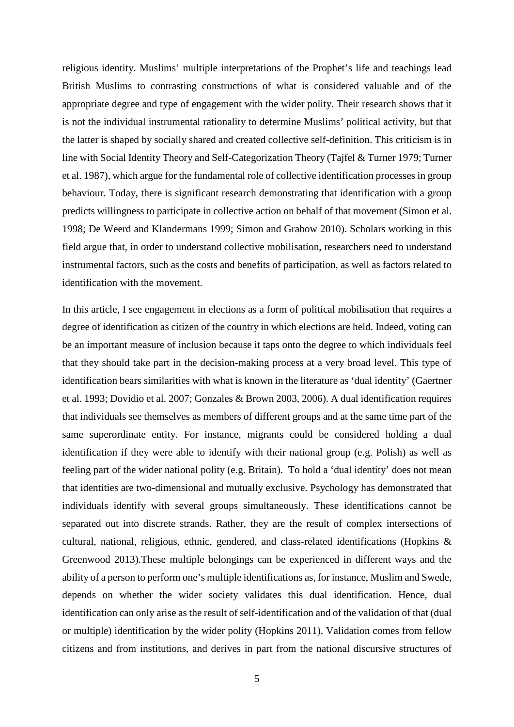religious identity. Muslims' multiple interpretations of the Prophet's life and teachings lead British Muslims to contrasting constructions of what is considered valuable and of the appropriate degree and type of engagement with the wider polity. Their research shows that it is not the individual instrumental rationality to determine Muslims' political activity, but that the latter is shaped by socially shared and created collective self-definition. This criticism is in line with Social Identity Theory and Self-Categorization Theory (Tajfel & Turner 1979; Turner et al. 1987), which argue for the fundamental role of collective identification processes in group behaviour. Today, there is significant research demonstrating that identification with a group predicts willingness to participate in collective action on behalf of that movement (Simon et al. 1998; De Weerd and Klandermans 1999; Simon and Grabow 2010). Scholars working in this field argue that, in order to understand collective mobilisation, researchers need to understand instrumental factors, such as the costs and benefits of participation, as well as factors related to identification with the movement.

In this article, I see engagement in elections as a form of political mobilisation that requires a degree of identification as citizen of the country in which elections are held. Indeed, voting can be an important measure of inclusion because it taps onto the degree to which individuals feel that they should take part in the decision-making process at a very broad level. This type of identification bears similarities with what is known in the literature as 'dual identity' (Gaertner et al. 1993; Dovidio et al. 2007; Gonzales & Brown 2003, 2006). A dual identification requires that individuals see themselves as members of different groups and at the same time part of the same superordinate entity. For instance, migrants could be considered holding a dual identification if they were able to identify with their national group (e.g. Polish) as well as feeling part of the wider national polity (e.g. Britain). To hold a 'dual identity' does not mean that identities are two-dimensional and mutually exclusive. Psychology has demonstrated that individuals identify with several groups simultaneously. These identifications cannot be separated out into discrete strands. Rather, they are the result of complex intersections of cultural, national, religious, ethnic, gendered, and class-related identifications (Hopkins & Greenwood 2013).These multiple belongings can be experienced in different ways and the ability of a person to perform one's multiple identifications as, for instance, Muslim and Swede, depends on whether the wider society validates this dual identification. Hence, dual identification can only arise as the result of self-identification and of the validation of that (dual or multiple) identification by the wider polity (Hopkins 2011). Validation comes from fellow citizens and from institutions, and derives in part from the national discursive structures of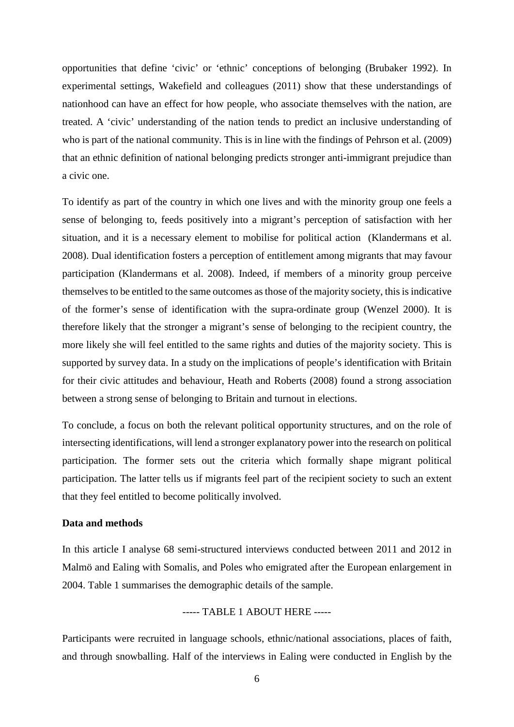opportunities that define 'civic' or 'ethnic' conceptions of belonging (Brubaker 1992). In experimental settings, Wakefield and colleagues (2011) show that these understandings of nationhood can have an effect for how people, who associate themselves with the nation, are treated. A 'civic' understanding of the nation tends to predict an inclusive understanding of who is part of the national community. This is in line with the findings of Pehrson et al. (2009) that an ethnic definition of national belonging predicts stronger anti-immigrant prejudice than a civic one.

To identify as part of the country in which one lives and with the minority group one feels a sense of belonging to, feeds positively into a migrant's perception of satisfaction with her situation, and it is a necessary element to mobilise for political action (Klandermans et al. 2008). Dual identification fosters a perception of entitlement among migrants that may favour participation (Klandermans et al. 2008). Indeed, if members of a minority group perceive themselves to be entitled to the same outcomes as those of the majority society, this is indicative of the former's sense of identification with the supra-ordinate group (Wenzel 2000). It is therefore likely that the stronger a migrant's sense of belonging to the recipient country, the more likely she will feel entitled to the same rights and duties of the majority society. This is supported by survey data. In a study on the implications of people's identification with Britain for their civic attitudes and behaviour, Heath and Roberts (2008) found a strong association between a strong sense of belonging to Britain and turnout in elections.

To conclude, a focus on both the relevant political opportunity structures, and on the role of intersecting identifications, will lend a stronger explanatory power into the research on political participation. The former sets out the criteria which formally shape migrant political participation. The latter tells us if migrants feel part of the recipient society to such an extent that they feel entitled to become politically involved.

## **Data and methods**

In this article I analyse 68 semi-structured interviews conducted between 2011 and 2012 in Malmö and Ealing with Somalis, and Poles who emigrated after the European enlargement in 2004. Table 1 summarises the demographic details of the sample.

# ----- TABLE 1 ABOUT HERE -----

Participants were recruited in language schools, ethnic/national associations, places of faith, and through snowballing. Half of the interviews in Ealing were conducted in English by the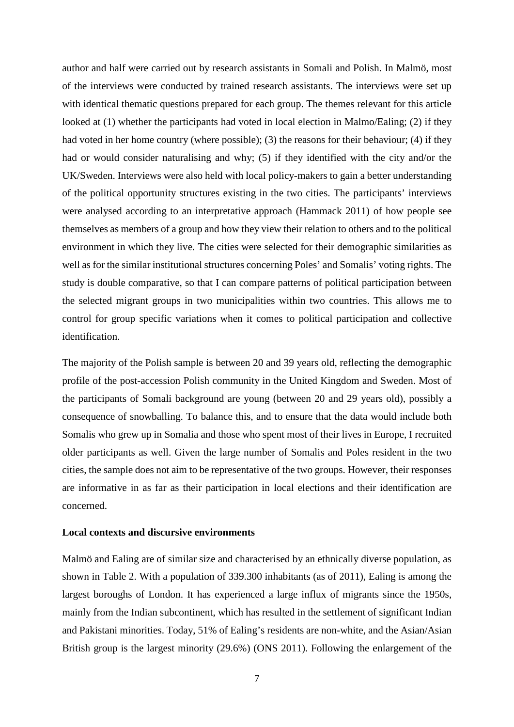author and half were carried out by research assistants in Somali and Polish. In Malmö, most of the interviews were conducted by trained research assistants. The interviews were set up with identical thematic questions prepared for each group. The themes relevant for this article looked at (1) whether the participants had voted in local election in Malmo/Ealing; (2) if they had voted in her home country (where possible); (3) the reasons for their behaviour; (4) if they had or would consider naturalising and why; (5) if they identified with the city and/or the UK/Sweden. Interviews were also held with local policy-makers to gain a better understanding of the political opportunity structures existing in the two cities. The participants' interviews were analysed according to an interpretative approach (Hammack 2011) of how people see themselves as members of a group and how they view their relation to others and to the political environment in which they live. The cities were selected for their demographic similarities as well as for the similar institutional structures concerning Poles' and Somalis' voting rights. The study is double comparative, so that I can compare patterns of political participation between the selected migrant groups in two municipalities within two countries. This allows me to control for group specific variations when it comes to political participation and collective identification.

The majority of the Polish sample is between 20 and 39 years old, reflecting the demographic profile of the post-accession Polish community in the United Kingdom and Sweden. Most of the participants of Somali background are young (between 20 and 29 years old), possibly a consequence of snowballing. To balance this, and to ensure that the data would include both Somalis who grew up in Somalia and those who spent most of their lives in Europe, I recruited older participants as well. Given the large number of Somalis and Poles resident in the two cities, the sample does not aim to be representative of the two groups. However, their responses are informative in as far as their participation in local elections and their identification are concerned.

#### **Local contexts and discursive environments**

Malmö and Ealing are of similar size and characterised by an ethnically diverse population, as shown in Table 2. With a population of 339.300 inhabitants (as of 2011), Ealing is among the largest boroughs of London. It has experienced a large influx of migrants since the 1950s, mainly from the Indian subcontinent, which has resulted in the settlement of significant Indian and Pakistani minorities. Today, 51% of Ealing's residents are non-white, and the Asian/Asian British group is the largest minority (29.6%) (ONS 2011). Following the enlargement of the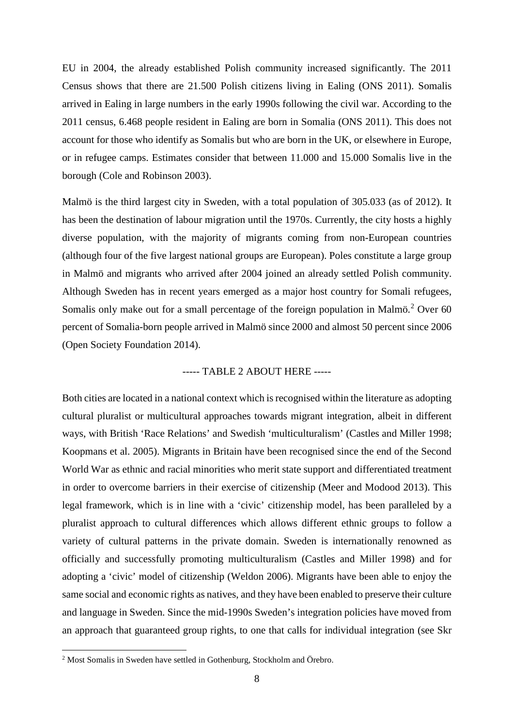EU in 2004, the already established Polish community increased significantly. The 2011 Census shows that there are 21.500 Polish citizens living in Ealing (ONS 2011). Somalis arrived in Ealing in large numbers in the early 1990s following the civil war. According to the 2011 census, 6.468 people resident in Ealing are born in Somalia (ONS 2011). This does not account for those who identify as Somalis but who are born in the UK, or elsewhere in Europe, or in refugee camps. Estimates consider that between 11.000 and 15.000 Somalis live in the borough (Cole and Robinson 2003).

Malmö is the third largest city in Sweden, with a total population of 305.033 (as of 2012). It has been the destination of labour migration until the 1970s. Currently, the city hosts a highly diverse population, with the majority of migrants coming from non-European countries (although four of the five largest national groups are European). Poles constitute a large group in Malmö and migrants who arrived after 2004 joined an already settled Polish community. Although Sweden has in recent years emerged as a major host country for Somali refugees, Somalis only make out for a small percentage of the foreign population in Malmö.<sup>[2](#page-7-0)</sup> Over 60 percent of Somalia-born people arrived in Malmö since 2000 and almost 50 percent since 2006 (Open Society Foundation 2014).

# ----- TABLE 2 ABOUT HERE -----

Both cities are located in a national context which is recognised within the literature as adopting cultural pluralist or multicultural approaches towards migrant integration, albeit in different ways, with British 'Race Relations' and Swedish 'multiculturalism' (Castles and Miller 1998; Koopmans et al. 2005). Migrants in Britain have been recognised since the end of the Second World War as ethnic and racial minorities who merit state support and differentiated treatment in order to overcome barriers in their exercise of citizenship (Meer and Modood 2013). This legal framework, which is in line with a 'civic' citizenship model, has been paralleled by a pluralist approach to cultural differences which allows different ethnic groups to follow a variety of cultural patterns in the private domain. Sweden is internationally renowned as officially and successfully promoting multiculturalism (Castles and Miller 1998) and for adopting a 'civic' model of citizenship (Weldon 2006). Migrants have been able to enjoy the same social and economic rights as natives, and they have been enabled to preserve their culture and language in Sweden. Since the mid-1990s Sweden's integration policies have moved from an approach that guaranteed group rights, to one that calls for individual integration (see Skr

 $\overline{a}$ 

<span id="page-7-0"></span><sup>&</sup>lt;sup>2</sup> Most Somalis in Sweden have settled in Gothenburg, Stockholm and Örebro.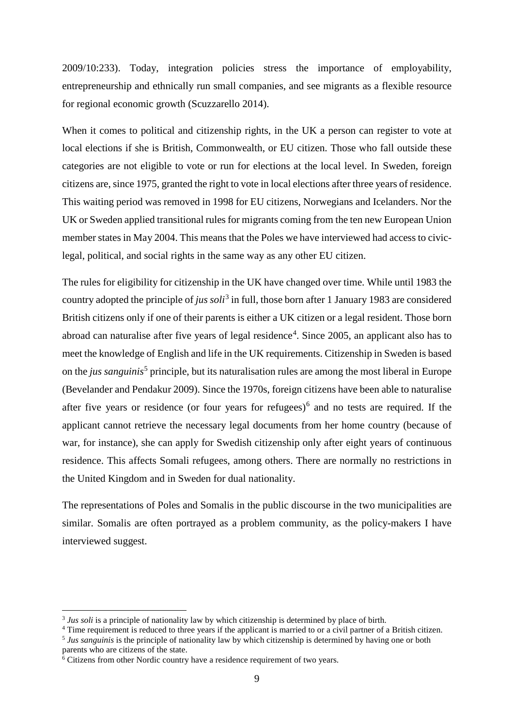2009/10:233). Today, integration policies stress the importance of employability, entrepreneurship and ethnically run small companies, and see migrants as a flexible resource for regional economic growth (Scuzzarello 2014).

When it comes to political and citizenship rights, in the UK a person can register to vote at local elections if she is British, Commonwealth, or EU citizen. Those who fall outside these categories are not eligible to vote or run for elections at the local level. In Sweden, foreign citizens are, since 1975, granted the right to vote in local elections after three years of residence. This waiting period was removed in 1998 for EU citizens, Norwegians and Icelanders. Nor the UK or Sweden applied transitional rules for migrants coming from the ten new European Union member states in May 2004. This means that the Poles we have interviewed had access to civiclegal, political, and social rights in the same way as any other EU citizen.

The rules for eligibility for citizenship in the UK have changed over time. While until 1983 the country adopted the principle of *jus soli*<sup>[3](#page-8-0)</sup> in full, those born after 1 January 1983 are considered British citizens only if one of their parents is either a UK citizen or a legal resident. Those born abroad can naturalise after five years of legal residence<sup>[4](#page-8-1)</sup>. Since 2005, an applicant also has to meet the knowledge of English and life in the UK requirements. Citizenship in Sweden is based on the *jus sanguinis*[5](#page-8-2) principle, but its naturalisation rules are among the most liberal in Europe (Bevelander and Pendakur 2009). Since the 1970s, foreign citizens have been able to naturalise after five years or residence (or four years for refugees) $<sup>6</sup>$  $<sup>6</sup>$  $<sup>6</sup>$  and no tests are required. If the</sup> applicant cannot retrieve the necessary legal documents from her home country (because of war, for instance), she can apply for Swedish citizenship only after eight years of continuous residence. This affects Somali refugees, among others. There are normally no restrictions in the United Kingdom and in Sweden for dual nationality.

The representations of Poles and Somalis in the public discourse in the two municipalities are similar. Somalis are often portrayed as a problem community, as the policy-makers I have interviewed suggest.

**.** 

<span id="page-8-0"></span><sup>3</sup> *Jus soli* is a principle of nationality law by which citizenship is determined by place of birth.

<span id="page-8-1"></span><sup>&</sup>lt;sup>4</sup> Time requirement is reduced to three years if the applicant is married to or a civil partner of a British citizen.

<span id="page-8-2"></span><sup>&</sup>lt;sup>5</sup> *Jus sanguinis* is the principle of nationality law by which citizenship is determined by having one or both parents who are citizens of the state.

<span id="page-8-3"></span> $6$  Citizens from other Nordic country have a residence requirement of two years.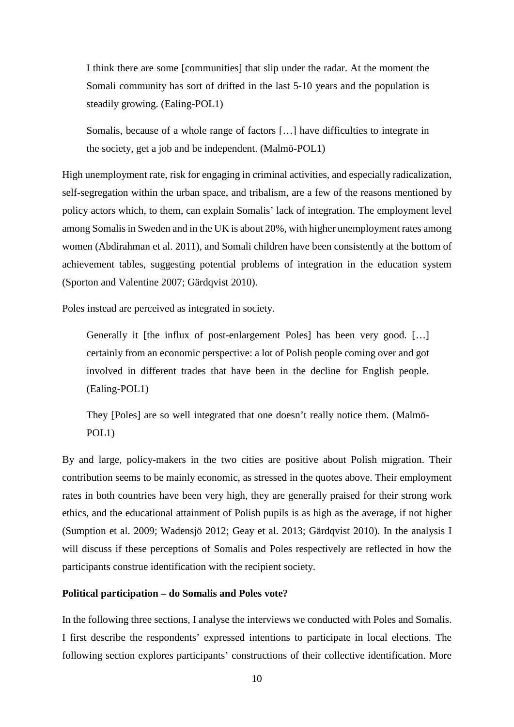I think there are some [communities] that slip under the radar. At the moment the Somali community has sort of drifted in the last 5-10 years and the population is steadily growing. (Ealing-POL1)

Somalis, because of a whole range of factors […] have difficulties to integrate in the society, get a job and be independent. (Malmö-POL1)

High unemployment rate, risk for engaging in criminal activities, and especially radicalization, self-segregation within the urban space, and tribalism, are a few of the reasons mentioned by policy actors which, to them, can explain Somalis' lack of integration. The employment level among Somalis in Sweden and in the UK is about 20%, with higher unemployment rates among women (Abdirahman et al. 2011), and Somali children have been consistently at the bottom of achievement tables, suggesting potential problems of integration in the education system (Sporton and Valentine 2007; Gärdqvist 2010).

Poles instead are perceived as integrated in society.

Generally it [the influx of post-enlargement Poles] has been very good. [...] certainly from an economic perspective: a lot of Polish people coming over and got involved in different trades that have been in the decline for English people. (Ealing-POL1)

They [Poles] are so well integrated that one doesn't really notice them. (Malmö-POL1)

By and large, policy-makers in the two cities are positive about Polish migration. Their contribution seems to be mainly economic, as stressed in the quotes above. Their employment rates in both countries have been very high, they are generally praised for their strong work ethics, and the educational attainment of Polish pupils is as high as the average, if not higher (Sumption et al. 2009; Wadensjö 2012; Geay et al. 2013; Gärdqvist 2010). In the analysis I will discuss if these perceptions of Somalis and Poles respectively are reflected in how the participants construe identification with the recipient society.

# **Political participation – do Somalis and Poles vote?**

In the following three sections, I analyse the interviews we conducted with Poles and Somalis. I first describe the respondents' expressed intentions to participate in local elections. The following section explores participants' constructions of their collective identification. More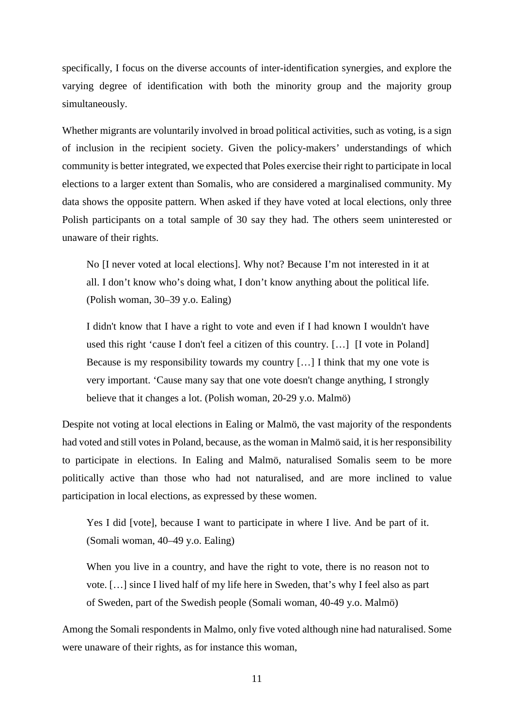specifically, I focus on the diverse accounts of inter-identification synergies, and explore the varying degree of identification with both the minority group and the majority group simultaneously.

Whether migrants are voluntarily involved in broad political activities, such as voting, is a sign of inclusion in the recipient society. Given the policy-makers' understandings of which community is better integrated, we expected that Poles exercise their right to participate in local elections to a larger extent than Somalis, who are considered a marginalised community. My data shows the opposite pattern. When asked if they have voted at local elections, only three Polish participants on a total sample of 30 say they had. The others seem uninterested or unaware of their rights.

No [I never voted at local elections]. Why not? Because I'm not interested in it at all. I don't know who's doing what, I don't know anything about the political life. (Polish woman, 30–39 y.o. Ealing)

I didn't know that I have a right to vote and even if I had known I wouldn't have used this right 'cause I don't feel a citizen of this country. […] [I vote in Poland] Because is my responsibility towards my country […] I think that my one vote is very important. 'Cause many say that one vote doesn't change anything, I strongly believe that it changes a lot. (Polish woman, 20-29 y.o. Malmö)

Despite not voting at local elections in Ealing or Malmö, the vast majority of the respondents had voted and still votes in Poland, because, as the woman in Malmö said, it is her responsibility to participate in elections. In Ealing and Malmö, naturalised Somalis seem to be more politically active than those who had not naturalised, and are more inclined to value participation in local elections, as expressed by these women.

Yes I did [vote], because I want to participate in where I live. And be part of it. (Somali woman, 40–49 y.o. Ealing)

When you live in a country, and have the right to vote, there is no reason not to vote. […] since I lived half of my life here in Sweden, that's why I feel also as part of Sweden, part of the Swedish people (Somali woman, 40-49 y.o. Malmö)

Among the Somali respondents in Malmo, only five voted although nine had naturalised. Some were unaware of their rights, as for instance this woman,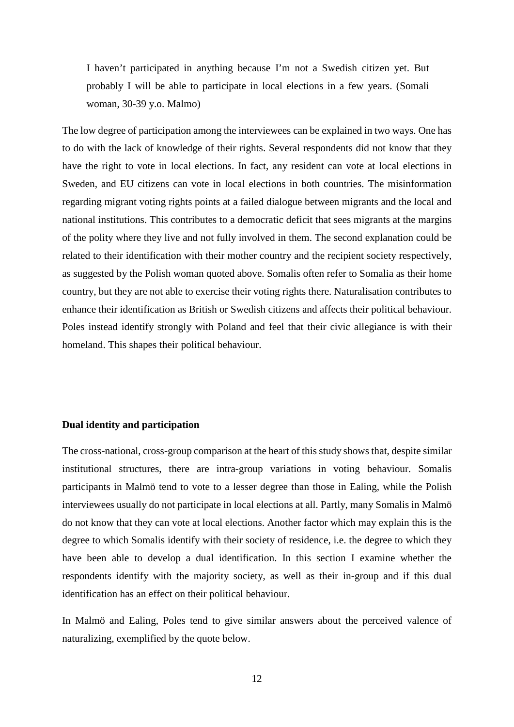I haven't participated in anything because I'm not a Swedish citizen yet. But probably I will be able to participate in local elections in a few years. (Somali woman, 30-39 y.o. Malmo)

The low degree of participation among the interviewees can be explained in two ways. One has to do with the lack of knowledge of their rights. Several respondents did not know that they have the right to vote in local elections. In fact, any resident can vote at local elections in Sweden, and EU citizens can vote in local elections in both countries. The misinformation regarding migrant voting rights points at a failed dialogue between migrants and the local and national institutions. This contributes to a democratic deficit that sees migrants at the margins of the polity where they live and not fully involved in them. The second explanation could be related to their identification with their mother country and the recipient society respectively, as suggested by the Polish woman quoted above. Somalis often refer to Somalia as their home country, but they are not able to exercise their voting rights there. Naturalisation contributes to enhance their identification as British or Swedish citizens and affects their political behaviour. Poles instead identify strongly with Poland and feel that their civic allegiance is with their homeland. This shapes their political behaviour.

#### **Dual identity and participation**

The cross-national, cross-group comparison at the heart of this study shows that, despite similar institutional structures, there are intra-group variations in voting behaviour. Somalis participants in Malmö tend to vote to a lesser degree than those in Ealing, while the Polish interviewees usually do not participate in local elections at all. Partly, many Somalis in Malmö do not know that they can vote at local elections. Another factor which may explain this is the degree to which Somalis identify with their society of residence, i.e. the degree to which they have been able to develop a dual identification. In this section I examine whether the respondents identify with the majority society, as well as their in-group and if this dual identification has an effect on their political behaviour.

In Malmö and Ealing, Poles tend to give similar answers about the perceived valence of naturalizing, exemplified by the quote below.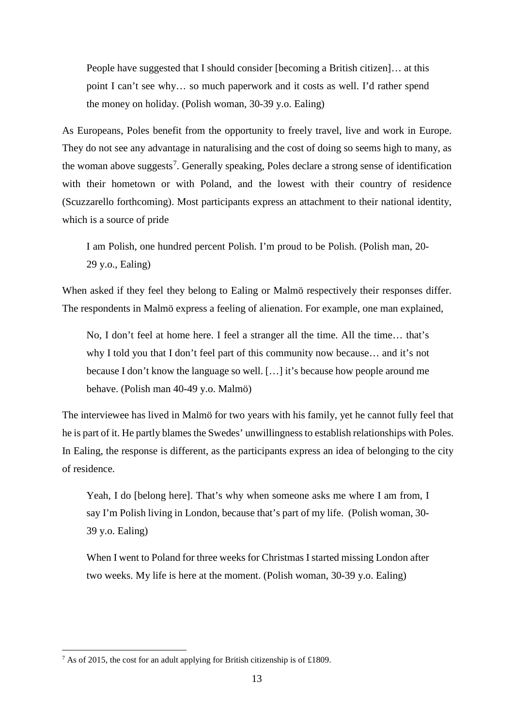People have suggested that I should consider [becoming a British citizen]… at this point I can't see why… so much paperwork and it costs as well. I'd rather spend the money on holiday. (Polish woman, 30-39 y.o. Ealing)

As Europeans, Poles benefit from the opportunity to freely travel, live and work in Europe. They do not see any advantage in naturalising and the cost of doing so seems high to many, as the woman above suggests<sup>[7](#page-12-0)</sup>. Generally speaking, Poles declare a strong sense of identification with their hometown or with Poland, and the lowest with their country of residence (Scuzzarello forthcoming). Most participants express an attachment to their national identity, which is a source of pride

I am Polish, one hundred percent Polish. I'm proud to be Polish. (Polish man, 20- 29 y.o., Ealing)

When asked if they feel they belong to Ealing or Malmö respectively their responses differ. The respondents in Malmö express a feeling of alienation. For example, one man explained,

No, I don't feel at home here. I feel a stranger all the time. All the time… that's why I told you that I don't feel part of this community now because… and it's not because I don't know the language so well. […] it's because how people around me behave. (Polish man 40-49 y.o. Malmö)

The interviewee has lived in Malmö for two years with his family, yet he cannot fully feel that he is part of it. He partly blames the Swedes' unwillingness to establish relationships with Poles. In Ealing, the response is different, as the participants express an idea of belonging to the city of residence.

Yeah, I do [belong here]. That's why when someone asks me where I am from, I say I'm Polish living in London, because that's part of my life. (Polish woman, 30- 39 y.o. Ealing)

When I went to Poland for three weeks for Christmas I started missing London after two weeks. My life is here at the moment. (Polish woman, 30-39 y.o. Ealing)

 $\overline{a}$ 

<span id="page-12-0"></span><sup>&</sup>lt;sup>7</sup> As of 2015, the cost for an adult applying for British citizenship is of £1809.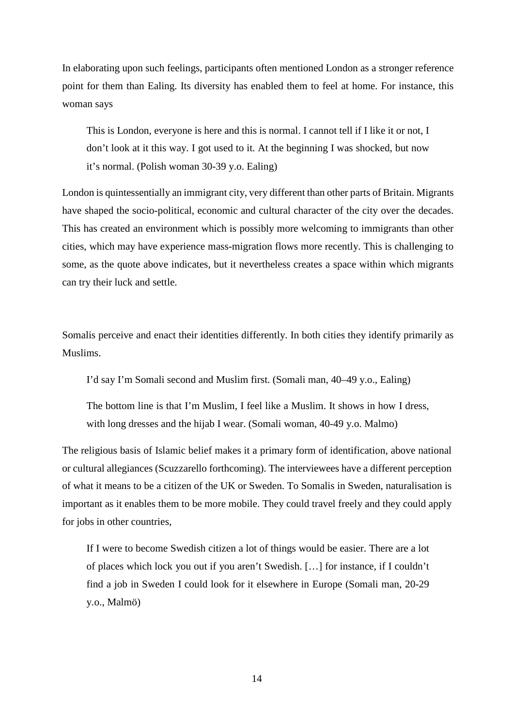In elaborating upon such feelings, participants often mentioned London as a stronger reference point for them than Ealing. Its diversity has enabled them to feel at home. For instance, this woman says

This is London, everyone is here and this is normal. I cannot tell if I like it or not, I don't look at it this way. I got used to it. At the beginning I was shocked, but now it's normal. (Polish woman 30-39 y.o. Ealing)

London is quintessentially an immigrant city, very different than other parts of Britain. Migrants have shaped the socio-political, economic and cultural character of the city over the decades. This has created an environment which is possibly more welcoming to immigrants than other cities, which may have experience mass-migration flows more recently. This is challenging to some, as the quote above indicates, but it nevertheless creates a space within which migrants can try their luck and settle.

Somalis perceive and enact their identities differently. In both cities they identify primarily as Muslims.

I'd say I'm Somali second and Muslim first. (Somali man, 40–49 y.o., Ealing)

The bottom line is that I'm Muslim, I feel like a Muslim. It shows in how I dress, with long dresses and the hijab I wear. (Somali woman, 40-49 y.o. Malmo)

The religious basis of Islamic belief makes it a primary form of identification, above national or cultural allegiances (Scuzzarello forthcoming). The interviewees have a different perception of what it means to be a citizen of the UK or Sweden. To Somalis in Sweden, naturalisation is important as it enables them to be more mobile. They could travel freely and they could apply for jobs in other countries,

If I were to become Swedish citizen a lot of things would be easier. There are a lot of places which lock you out if you aren't Swedish. […] for instance, if I couldn't find a job in Sweden I could look for it elsewhere in Europe (Somali man, 20-29 y.o., Malmö)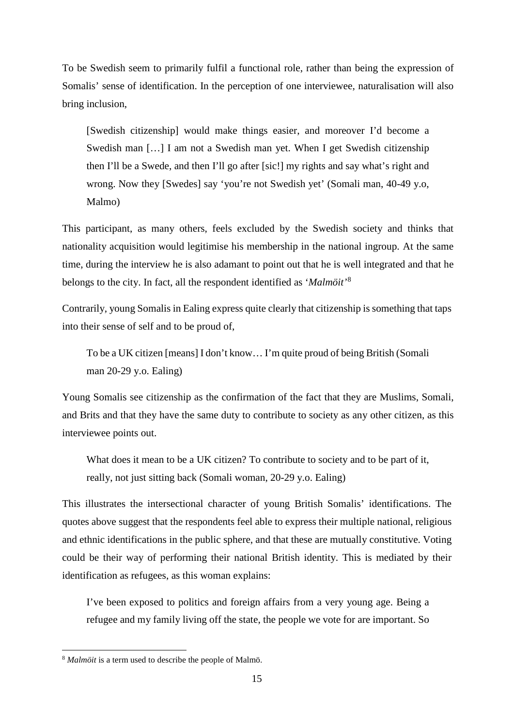To be Swedish seem to primarily fulfil a functional role, rather than being the expression of Somalis' sense of identification. In the perception of one interviewee, naturalisation will also bring inclusion,

[Swedish citizenship] would make things easier, and moreover I'd become a Swedish man […] I am not a Swedish man yet. When I get Swedish citizenship then I'll be a Swede, and then I'll go after [sic!] my rights and say what's right and wrong. Now they [Swedes] say 'you're not Swedish yet' (Somali man, 40-49 y.o, Malmo)

This participant, as many others, feels excluded by the Swedish society and thinks that nationality acquisition would legitimise his membership in the national ingroup. At the same time, during the interview he is also adamant to point out that he is well integrated and that he belongs to the city. In fact, all the respondent identified as '*Malmöit'*[8](#page-14-0)

Contrarily, young Somalis in Ealing express quite clearly that citizenship is something that taps into their sense of self and to be proud of,

To be a UK citizen [means] I don't know… I'm quite proud of being British (Somali man 20-29 y.o. Ealing)

Young Somalis see citizenship as the confirmation of the fact that they are Muslims, Somali, and Brits and that they have the same duty to contribute to society as any other citizen, as this interviewee points out.

What does it mean to be a UK citizen? To contribute to society and to be part of it, really, not just sitting back (Somali woman, 20-29 y.o. Ealing)

This illustrates the intersectional character of young British Somalis' identifications. The quotes above suggest that the respondents feel able to express their multiple national, religious and ethnic identifications in the public sphere, and that these are mutually constitutive. Voting could be their way of performing their national British identity. This is mediated by their identification as refugees, as this woman explains:

I've been exposed to politics and foreign affairs from a very young age. Being a refugee and my family living off the state, the people we vote for are important. So

 $\overline{a}$ 

<span id="page-14-0"></span><sup>8</sup> *Malmöit* is a term used to describe the people of Malmö.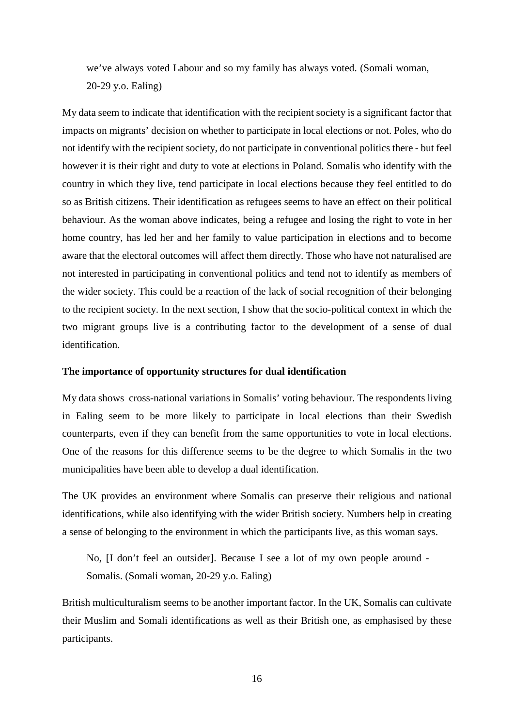we've always voted Labour and so my family has always voted. (Somali woman, 20-29 y.o. Ealing)

My data seem to indicate that identification with the recipient society is a significant factor that impacts on migrants' decision on whether to participate in local elections or not. Poles, who do not identify with the recipient society, do not participate in conventional politics there - but feel however it is their right and duty to vote at elections in Poland. Somalis who identify with the country in which they live, tend participate in local elections because they feel entitled to do so as British citizens. Their identification as refugees seems to have an effect on their political behaviour. As the woman above indicates, being a refugee and losing the right to vote in her home country, has led her and her family to value participation in elections and to become aware that the electoral outcomes will affect them directly. Those who have not naturalised are not interested in participating in conventional politics and tend not to identify as members of the wider society. This could be a reaction of the lack of social recognition of their belonging to the recipient society. In the next section, I show that the socio-political context in which the two migrant groups live is a contributing factor to the development of a sense of dual identification.

## **The importance of opportunity structures for dual identification**

My data shows cross-national variations in Somalis' voting behaviour. The respondents living in Ealing seem to be more likely to participate in local elections than their Swedish counterparts, even if they can benefit from the same opportunities to vote in local elections. One of the reasons for this difference seems to be the degree to which Somalis in the two municipalities have been able to develop a dual identification.

The UK provides an environment where Somalis can preserve their religious and national identifications, while also identifying with the wider British society. Numbers help in creating a sense of belonging to the environment in which the participants live, as this woman says.

No, [I don't feel an outsider]. Because I see a lot of my own people around - Somalis. (Somali woman, 20-29 y.o. Ealing)

British multiculturalism seems to be another important factor. In the UK, Somalis can cultivate their Muslim and Somali identifications as well as their British one, as emphasised by these participants.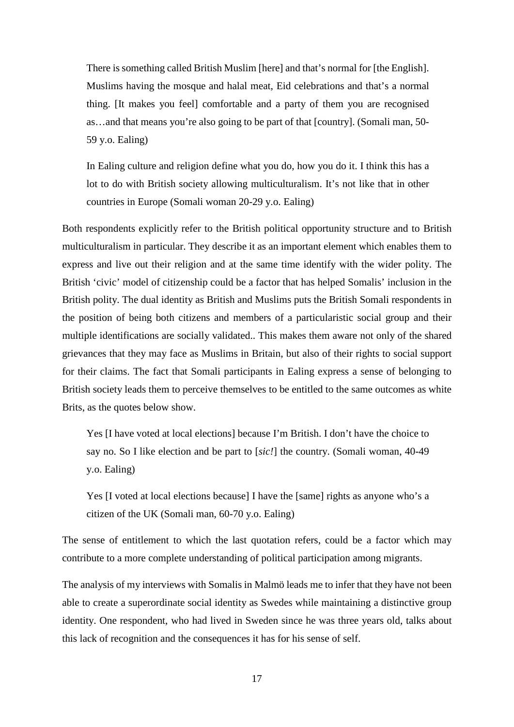There is something called British Muslim [here] and that's normal for [the English]. Muslims having the mosque and halal meat, Eid celebrations and that's a normal thing. [It makes you feel] comfortable and a party of them you are recognised as…and that means you're also going to be part of that [country]. (Somali man, 50- 59 y.o. Ealing)

In Ealing culture and religion define what you do, how you do it. I think this has a lot to do with British society allowing multiculturalism. It's not like that in other countries in Europe (Somali woman 20-29 y.o. Ealing)

Both respondents explicitly refer to the British political opportunity structure and to British multiculturalism in particular. They describe it as an important element which enables them to express and live out their religion and at the same time identify with the wider polity. The British 'civic' model of citizenship could be a factor that has helped Somalis' inclusion in the British polity. The dual identity as British and Muslims puts the British Somali respondents in the position of being both citizens and members of a particularistic social group and their multiple identifications are socially validated.. This makes them aware not only of the shared grievances that they may face as Muslims in Britain, but also of their rights to social support for their claims. The fact that Somali participants in Ealing express a sense of belonging to British society leads them to perceive themselves to be entitled to the same outcomes as white Brits, as the quotes below show.

Yes [I have voted at local elections] because I'm British. I don't have the choice to say no. So I like election and be part to [*sic!*] the country. (Somali woman, 40-49 y.o. Ealing)

Yes [I voted at local elections because] I have the [same] rights as anyone who's a citizen of the UK (Somali man, 60-70 y.o. Ealing)

The sense of entitlement to which the last quotation refers, could be a factor which may contribute to a more complete understanding of political participation among migrants.

The analysis of my interviews with Somalis in Malmö leads me to infer that they have not been able to create a superordinate social identity as Swedes while maintaining a distinctive group identity. One respondent, who had lived in Sweden since he was three years old, talks about this lack of recognition and the consequences it has for his sense of self.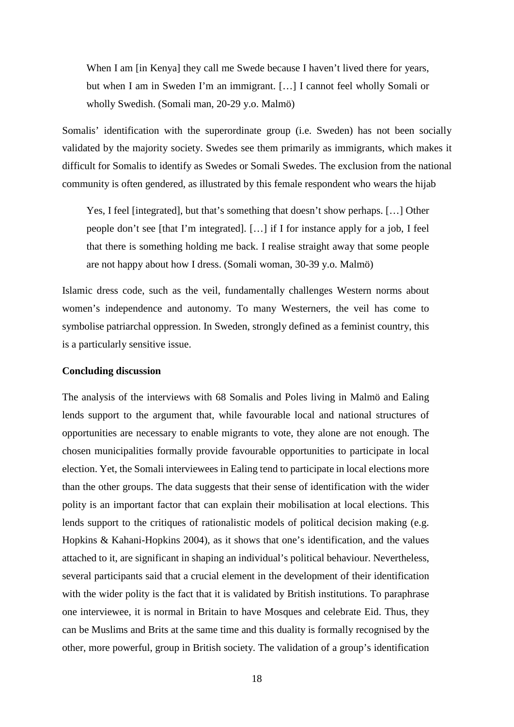When I am [in Kenya] they call me Swede because I haven't lived there for years, but when I am in Sweden I'm an immigrant. […] I cannot feel wholly Somali or wholly Swedish. (Somali man, 20-29 y.o. Malmö)

Somalis' identification with the superordinate group (i.e. Sweden) has not been socially validated by the majority society. Swedes see them primarily as immigrants, which makes it difficult for Somalis to identify as Swedes or Somali Swedes. The exclusion from the national community is often gendered, as illustrated by this female respondent who wears the hijab

Yes, I feel [integrated], but that's something that doesn't show perhaps. […] Other people don't see [that I'm integrated]. […] if I for instance apply for a job, I feel that there is something holding me back. I realise straight away that some people are not happy about how I dress. (Somali woman, 30-39 y.o. Malmö)

Islamic dress code, such as the veil, fundamentally challenges Western norms about women's independence and autonomy. To many Westerners, the veil has come to symbolise patriarchal oppression. In Sweden, strongly defined as a feminist country, this is a particularly sensitive issue.

# **Concluding discussion**

The analysis of the interviews with 68 Somalis and Poles living in Malmö and Ealing lends support to the argument that, while favourable local and national structures of opportunities are necessary to enable migrants to vote, they alone are not enough. The chosen municipalities formally provide favourable opportunities to participate in local election. Yet, the Somali interviewees in Ealing tend to participate in local elections more than the other groups. The data suggests that their sense of identification with the wider polity is an important factor that can explain their mobilisation at local elections. This lends support to the critiques of rationalistic models of political decision making (e.g. Hopkins & Kahani-Hopkins 2004), as it shows that one's identification, and the values attached to it, are significant in shaping an individual's political behaviour. Nevertheless, several participants said that a crucial element in the development of their identification with the wider polity is the fact that it is validated by British institutions. To paraphrase one interviewee, it is normal in Britain to have Mosques and celebrate Eid. Thus, they can be Muslims and Brits at the same time and this duality is formally recognised by the other, more powerful, group in British society. The validation of a group's identification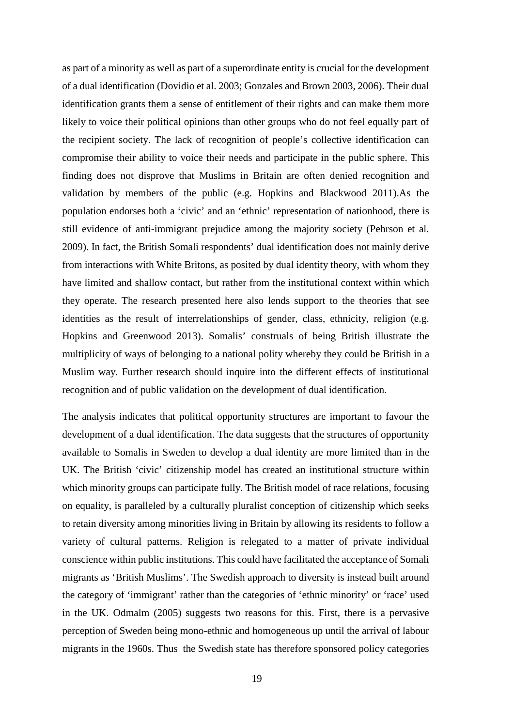as part of a minority as well as part of a superordinate entity is crucial for the development of a dual identification (Dovidio et al. 2003; Gonzales and Brown 2003, 2006). Their dual identification grants them a sense of entitlement of their rights and can make them more likely to voice their political opinions than other groups who do not feel equally part of the recipient society. The lack of recognition of people's collective identification can compromise their ability to voice their needs and participate in the public sphere. This finding does not disprove that Muslims in Britain are often denied recognition and validation by members of the public (e.g. Hopkins and Blackwood 2011).As the population endorses both a 'civic' and an 'ethnic' representation of nationhood, there is still evidence of anti-immigrant prejudice among the majority society (Pehrson et al. 2009). In fact, the British Somali respondents' dual identification does not mainly derive from interactions with White Britons, as posited by dual identity theory, with whom they have limited and shallow contact, but rather from the institutional context within which they operate. The research presented here also lends support to the theories that see identities as the result of interrelationships of gender, class, ethnicity, religion (e.g. Hopkins and Greenwood 2013). Somalis' construals of being British illustrate the multiplicity of ways of belonging to a national polity whereby they could be British in a Muslim way. Further research should inquire into the different effects of institutional recognition and of public validation on the development of dual identification.

The analysis indicates that political opportunity structures are important to favour the development of a dual identification. The data suggests that the structures of opportunity available to Somalis in Sweden to develop a dual identity are more limited than in the UK. The British 'civic' citizenship model has created an institutional structure within which minority groups can participate fully. The British model of race relations, focusing on equality, is paralleled by a culturally pluralist conception of citizenship which seeks to retain diversity among minorities living in Britain by allowing its residents to follow a variety of cultural patterns. Religion is relegated to a matter of private individual conscience within public institutions. This could have facilitated the acceptance of Somali migrants as 'British Muslims'. The Swedish approach to diversity is instead built around the category of 'immigrant' rather than the categories of 'ethnic minority' or 'race' used in the UK. Odmalm (2005) suggests two reasons for this. First, there is a pervasive perception of Sweden being mono-ethnic and homogeneous up until the arrival of labour migrants in the 1960s. Thus the Swedish state has therefore sponsored policy categories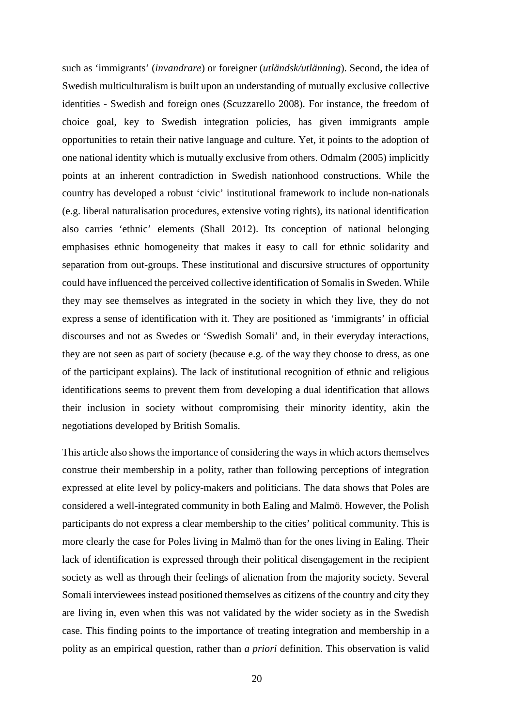such as 'immigrants' (*invandrare*) or foreigner (*utländsk/utlänning*). Second, the idea of Swedish multiculturalism is built upon an understanding of mutually exclusive collective identities - Swedish and foreign ones (Scuzzarello 2008). For instance, the freedom of choice goal, key to Swedish integration policies, has given immigrants ample opportunities to retain their native language and culture. Yet, it points to the adoption of one national identity which is mutually exclusive from others. Odmalm (2005) implicitly points at an inherent contradiction in Swedish nationhood constructions. While the country has developed a robust 'civic' institutional framework to include non-nationals (e.g. liberal naturalisation procedures, extensive voting rights), its national identification also carries 'ethnic' elements (Shall 2012). Its conception of national belonging emphasises ethnic homogeneity that makes it easy to call for ethnic solidarity and separation from out-groups. These institutional and discursive structures of opportunity could have influenced the perceived collective identification of Somalis in Sweden. While they may see themselves as integrated in the society in which they live, they do not express a sense of identification with it. They are positioned as 'immigrants' in official discourses and not as Swedes or 'Swedish Somali' and, in their everyday interactions, they are not seen as part of society (because e.g. of the way they choose to dress, as one of the participant explains). The lack of institutional recognition of ethnic and religious identifications seems to prevent them from developing a dual identification that allows their inclusion in society without compromising their minority identity, akin the negotiations developed by British Somalis.

This article also shows the importance of considering the ways in which actors themselves construe their membership in a polity, rather than following perceptions of integration expressed at elite level by policy-makers and politicians. The data shows that Poles are considered a well-integrated community in both Ealing and Malmö. However, the Polish participants do not express a clear membership to the cities' political community. This is more clearly the case for Poles living in Malmö than for the ones living in Ealing. Their lack of identification is expressed through their political disengagement in the recipient society as well as through their feelings of alienation from the majority society. Several Somali interviewees instead positioned themselves as citizens of the country and city they are living in, even when this was not validated by the wider society as in the Swedish case. This finding points to the importance of treating integration and membership in a polity as an empirical question, rather than *a priori* definition. This observation is valid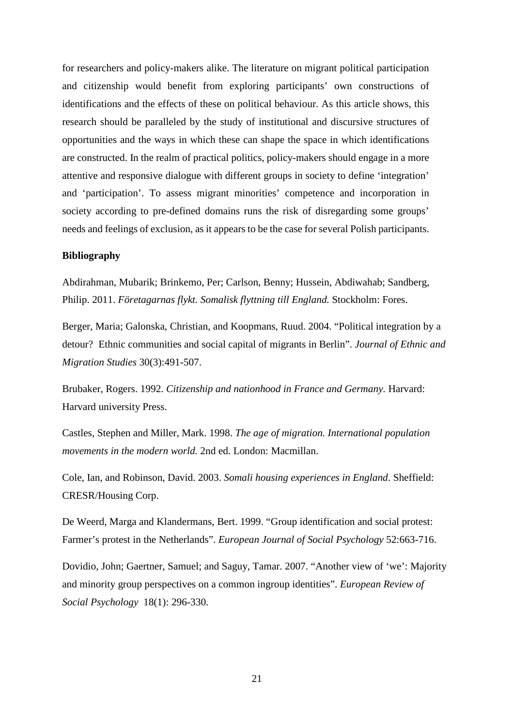for researchers and policy-makers alike. The literature on migrant political participation and citizenship would benefit from exploring participants' own constructions of identifications and the effects of these on political behaviour. As this article shows, this research should be paralleled by the study of institutional and discursive structures of opportunities and the ways in which these can shape the space in which identifications are constructed. In the realm of practical politics, policy-makers should engage in a more attentive and responsive dialogue with different groups in society to define 'integration' and 'participation'. To assess migrant minorities' competence and incorporation in society according to pre-defined domains runs the risk of disregarding some groups' needs and feelings of exclusion, as it appears to be the case for several Polish participants.

# **Bibliography**

Abdirahman, Mubarik; Brinkemo, Per; Carlson, Benny; Hussein, Abdiwahab; Sandberg, Philip. 2011. *Företagarnas flykt. Somalisk flyttning till England.* Stockholm: Fores.

Berger, Maria; Galonska, Christian, and Koopmans, Ruud. 2004. "Political integration by a detour? Ethnic communities and social capital of migrants in Berlin". *Journal of Ethnic and Migration Studies* 30(3):491-507.

Brubaker, Rogers. 1992. *Citizenship and nationhood in France and Germany.* Harvard: Harvard university Press.

Castles, Stephen and Miller, Mark. 1998. *The age of migration. International population movements in the modern world.* 2nd ed. London: Macmillan.

Cole, Ian, and Robinson, David. 2003. *Somali housing experiences in England*. Sheffield: CRESR/Housing Corp.

De Weerd, Marga and Klandermans, Bert. 1999. "Group identification and social protest: Farmer's protest in the Netherlands". *European Journal of Social Psychology* 52:663-716.

Dovidio, John; Gaertner, Samuel; and Saguy, Tamar. 2007. "Another view of 'we': Majority and minority group perspectives on a common ingroup identities". *European Review of Social Psychology* 18(1): 296-330.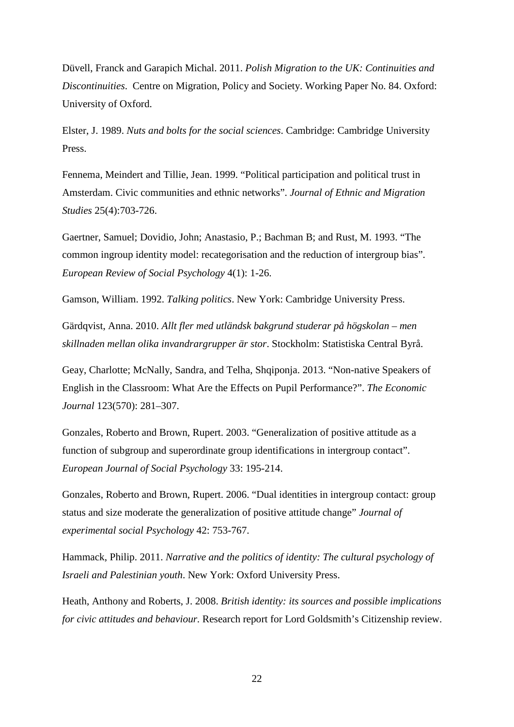Düvell, Franck and Garapich Michal. 2011. *Polish Migration to the UK: Continuities and Discontinuities*. Centre on Migration, Policy and Society. Working Paper No. 84. Oxford: University of Oxford.

Elster, J. 1989. *Nuts and bolts for the social sciences*. Cambridge: Cambridge University Press.

Fennema, Meindert and Tillie, Jean. 1999. "Political participation and political trust in Amsterdam. Civic communities and ethnic networks". *Journal of Ethnic and Migration Studies* 25(4):703-726.

Gaertner, Samuel; Dovidio, John; Anastasio, P.; Bachman B; and Rust, M. 1993. "The common ingroup identity model: recategorisation and the reduction of intergroup bias". *European Review of Social Psychology* 4(1): 1-26.

Gamson, William. 1992. *Talking politics*. New York: Cambridge University Press.

Gärdqvist, Anna. 2010. *Allt fler med utländsk bakgrund studerar på högskolan – men skillnaden mellan olika invandrargrupper är stor*. Stockholm: Statistiska Central Byrå.

Geay, Charlotte; McNally, Sandra, and Telha, Shqiponja. 2013. "Non-native Speakers of English in the Classroom: What Are the Effects on Pupil Performance?". *The Economic Journal* 123(570): 281–307.

Gonzales, Roberto and Brown, Rupert. 2003. "Generalization of positive attitude as a function of subgroup and superordinate group identifications in intergroup contact". *European Journal of Social Psychology* 33: 195-214.

Gonzales, Roberto and Brown, Rupert. 2006. "Dual identities in intergroup contact: group status and size moderate the generalization of positive attitude change" *Journal of experimental social Psychology* 42: 753-767.

Hammack, Philip. 2011. *Narrative and the politics of identity: The cultural psychology of Israeli and Palestinian youth*. New York: Oxford University Press.

Heath, Anthony and Roberts, J. 2008. *British identity: its sources and possible implications for civic attitudes and behaviour.* Research report for Lord Goldsmith's Citizenship review.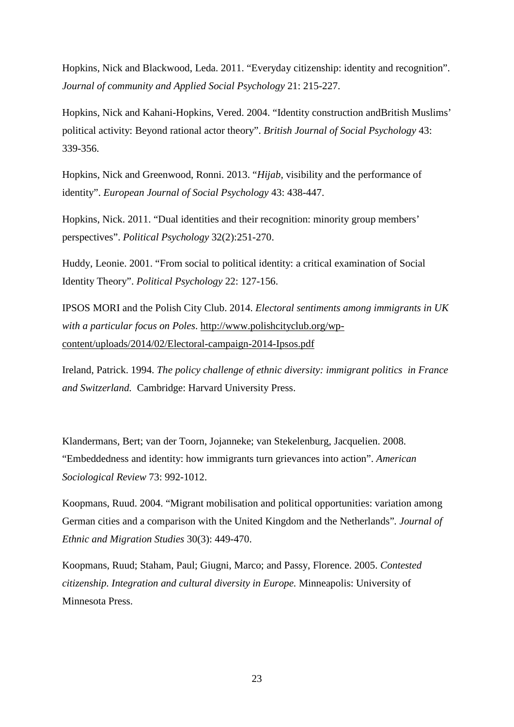Hopkins, Nick and Blackwood, Leda. 2011. "Everyday citizenship: identity and recognition". *Journal of community and Applied Social Psychology* 21: 215-227.

Hopkins, Nick and Kahani-Hopkins, Vered. 2004. "Identity construction andBritish Muslims' political activity: Beyond rational actor theory". *British Journal of Social Psychology* 43: 339-356.

Hopkins, Nick and Greenwood, Ronni. 2013. "*Hijab,* visibility and the performance of identity". *European Journal of Social Psychology* 43: 438-447.

Hopkins, Nick. 2011. "Dual identities and their recognition: minority group members' perspectives". *Political Psychology* 32(2):251-270.

Huddy, Leonie. 2001. "From social to political identity: a critical examination of Social Identity Theory". *Political Psychology* 22: 127-156.

IPSOS MORI and the Polish City Club. 2014. *Electoral sentiments among immigrants in UK with a particular focus on Poles*. [http://www.polishcityclub.org/wp](http://www.polishcityclub.org/wp-content/uploads/2014/02/Electoral-campaign-2014-Ipsos.pdf)[content/uploads/2014/02/Electoral-campaign-2014-Ipsos.pdf](http://www.polishcityclub.org/wp-content/uploads/2014/02/Electoral-campaign-2014-Ipsos.pdf)

Ireland, Patrick. 1994. *The policy challenge of ethnic diversity: immigrant politics in France and Switzerland.* Cambridge: Harvard University Press.

Klandermans, Bert; van der Toorn, Jojanneke; van Stekelenburg, Jacquelien. 2008. "Embeddedness and identity: how immigrants turn grievances into action". *American Sociological Review* 73: 992-1012.

Koopmans, Ruud. 2004. "Migrant mobilisation and political opportunities: variation among German cities and a comparison with the United Kingdom and the Netherlands"*. Journal of Ethnic and Migration Studies* 30(3): 449-470.

Koopmans, Ruud; Staham, Paul; Giugni, Marco; and Passy, Florence. 2005. *Contested citizenship. Integration and cultural diversity in Europe.* Minneapolis: University of Minnesota Press.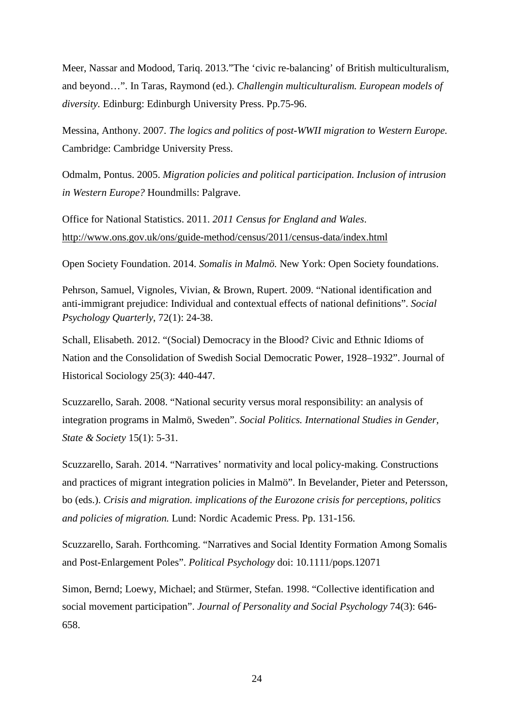Meer, Nassar and Modood, Tariq. 2013."The 'civic re-balancing' of British multiculturalism, and beyond…". In Taras, Raymond (ed.). *Challengin multiculturalism. European models of diversity.* Edinburg: Edinburgh University Press. Pp.75-96.

Messina, Anthony. 2007. *The logics and politics of post-WWII migration to Western Europe.* Cambridge: Cambridge University Press.

Odmalm, Pontus. 2005. *Migration policies and political participation. Inclusion of intrusion in Western Europe?* Houndmills: Palgrave.

Office for National Statistics. 2011. *2011 Census for England and Wales*. <http://www.ons.gov.uk/ons/guide-method/census/2011/census-data/index.html>

Open Society Foundation. 2014. *Somalis in Malmö.* New York: Open Society foundations.

Pehrson, Samuel, Vignoles, Vivian, & Brown, Rupert. 2009. "National identification and anti-immigrant prejudice: Individual and contextual effects of national definitions". *Social Psychology Quarterly*, 72(1): 24-38.

Schall, Elisabeth. 2012. "(Social) Democracy in the Blood? Civic and Ethnic Idioms of Nation and the Consolidation of Swedish Social Democratic Power, 1928–1932". Journal of Historical Sociology 25(3): 440-447.

Scuzzarello, Sarah. 2008. "National security versus moral responsibility: an analysis of integration programs in Malmö, Sweden". *Social Politics. International Studies in Gender, State & Society* 15(1): 5-31.

Scuzzarello, Sarah. 2014. "Narratives' normativity and local policy-making. Constructions and practices of migrant integration policies in Malmö". In Bevelander, Pieter and Petersson, bo (eds.). *Crisis and migration. implications of the Eurozone crisis for perceptions, politics and policies of migration.* Lund: Nordic Academic Press. Pp. 131-156.

Scuzzarello, Sarah. Forthcoming. "Narratives and Social Identity Formation Among Somalis and Post-Enlargement Poles". *Political Psychology* doi: 10.1111/pops.12071

Simon, Bernd; Loewy, Michael; and Stürmer, Stefan. 1998. "Collective identification and social movement participation". *Journal of Personality and Social Psychology* 74(3): 646- 658.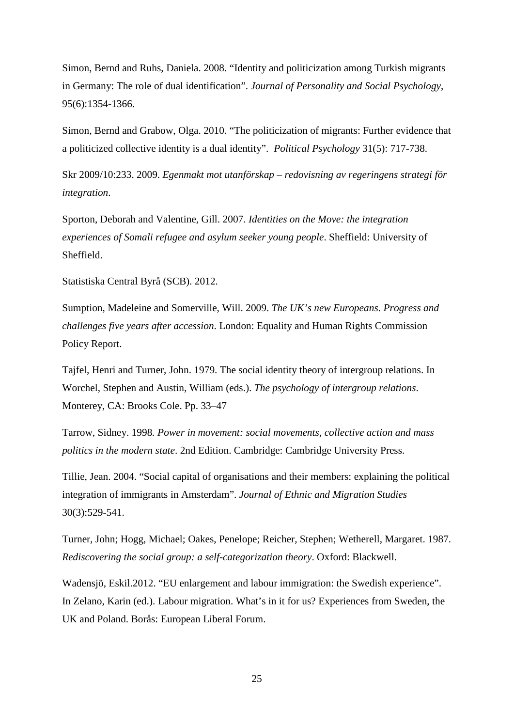Simon, Bernd and Ruhs, Daniela. 2008. "Identity and politicization among Turkish migrants in Germany: The role of dual identification". *Journal of Personality and Social Psychology*, 95(6):1354-1366.

Simon, Bernd and Grabow, Olga. 2010. "The politicization of migrants: Further evidence that a politicized collective identity is a dual identity". *Political Psychology* 31(5): 717-738.

Skr 2009/10:233. 2009. *Egenmakt mot utanförskap – redovisning av regeringens strategi för integration*.

Sporton, Deborah and Valentine, Gill. 2007. *Identities on the Move: the integration experiences of Somali refugee and asylum seeker young people*. Sheffield: University of Sheffield.

Statistiska Central Byrå (SCB). 2012.

Sumption, Madeleine and Somerville, Will. 2009. *The UK's new Europeans. Progress and challenges five years after accession*. London: Equality and Human Rights Commission Policy Report.

Tajfel, Henri and Turner, John. 1979. The social identity theory of intergroup relations. In Worchel, Stephen and Austin, William (eds.). *The psychology of intergroup relations*. Monterey, CA: Brooks Cole. Pp. 33–47

Tarrow, Sidney. 1998*. Power in movement: social movements, collective action and mass politics in the modern state*. 2nd Edition. Cambridge: Cambridge University Press.

Tillie, Jean. 2004. "Social capital of organisations and their members: explaining the political integration of immigrants in Amsterdam". *Journal of Ethnic and Migration Studies* 30(3):529-541.

Turner, John; Hogg, Michael; Oakes, Penelope; Reicher, Stephen; Wetherell, Margaret. 1987. *Rediscovering the social group: a self-categorization theory*. Oxford: Blackwell.

Wadensjö, Eskil.2012. "EU enlargement and labour immigration: the Swedish experience". In Zelano, Karin (ed.). Labour migration. What's in it for us? Experiences from Sweden, the UK and Poland. Borås: European Liberal Forum.